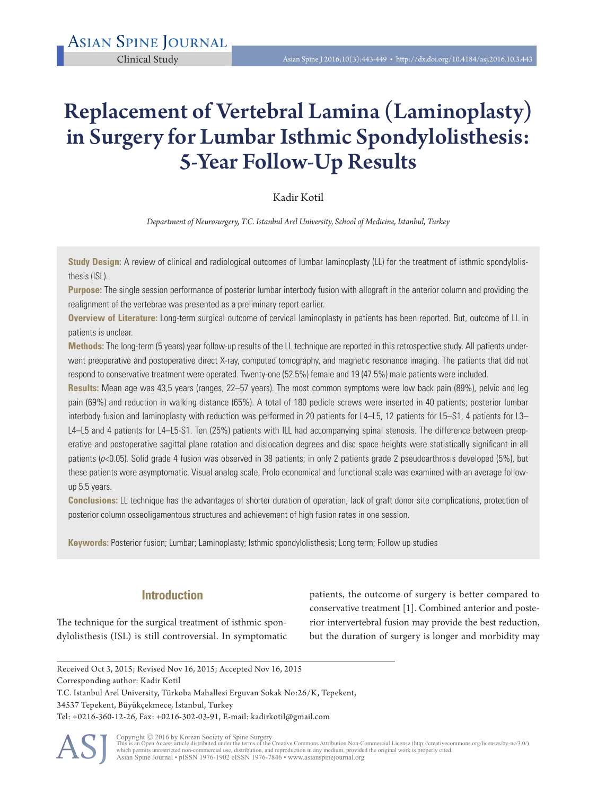# Replacement of Vertebral Lamina (Laminoplasty) in Surgery for Lumbar Isthmic Spondylolisthesis: 5-Year Follow-Up Results

# Kadir Kotil

*Department of Neurosurgery, T.C. Istanbul Arel University, School of Medicine, Istanbul, Turkey* 

**Study Design:** A review of clinical and radiological outcomes of lumbar laminoplasty (LL) for the treatment of isthmic spondylolisthesis (ISL).

**Purpose:** The single session performance of posterior lumbar interbody fusion with allograft in the anterior column and providing the realignment of the vertebrae was presented as a preliminary report earlier.

**Overview of Literature:** Long-term surgical outcome of cervical laminoplasty in patients has been reported. But, outcome of LL in patients is unclear.

**Methods:** The long-term (5 years) year follow-up results of the LL technique are reported in this retrospective study. All patients underwent preoperative and postoperative direct X-ray, computed tomography, and magnetic resonance imaging. The patients that did not respond to conservative treatment were operated. Twenty-one (52.5%) female and 19 (47.5%) male patients were included.

**Results:** Mean age was 43,5 years (ranges, 22–57 years). The most common symptoms were low back pain (89%), pelvic and leg pain (69%) and reduction in walking distance (65%). A total of 180 pedicle screws were inserted in 40 patients; posterior lumbar interbody fusion and laminoplasty with reduction was performed in 20 patients for L4–L5, 12 patients for L5–S1, 4 patients for L3– L4–L5 and 4 patients for L4–L5-S1. Ten (25%) patients with ILL had accompanying spinal stenosis. The difference between preoperative and postoperative sagittal plane rotation and dislocation degrees and disc space heights were statistically significant in all patients ( $p<0.05$ ). Solid grade 4 fusion was observed in 38 patients; in only 2 patients grade 2 pseudoarthrosis developed (5%), but these patients were asymptomatic. Visual analog scale, Prolo economical and functional scale was examined with an average followup 5.5 years.

**Conclusions:** LL technique has the advantages of shorter duration of operation, lack of graft donor site complications, protection of posterior column osseoligamentous structures and achievement of high fusion rates in one session.

**Keywords:** Posterior fusion; Lumbar; Laminoplasty; Isthmic spondylolisthesis; Long term; Follow up studies

# **Introduction**

The technique for the surgical treatment of isthmic spondylolisthesis (ISL) is still controversial. In symptomatic

patients, the outcome of surgery is better compared to conservative treatment [1]. Combined anterior and posterior intervertebral fusion may provide the best reduction, but the duration of surgery is longer and morbidity may

```
Received Oct 3, 2015; Revised Nov 16, 2015; Accepted Nov 16, 2015
Corresponding author: Kadir Kotil
T.C. Istanbul Arel University, Türkoba Mahallesi Erguvan Sokak No:26/K, Tepekent, 
34537 Tepekent, Büyükçekmece, İstanbul, Turkey 
Tel: +0216-360-12-26, Fax: +0216-302-03-91, E-mail: kadirkotil@gmail.com
```
Copyright © 2016 by Korean Society of Spine Surgery<br>This is an Open Access article distributed under the terms of the Creative Commons Attribution Non-Commercial License (http://creativecommons.org/licenses/by-nc/3.0/)<br>whi Asian Spine Journal • pISSN 1976-1902 eISSN 1976-7846 • www.asianspinejournal.org ASJ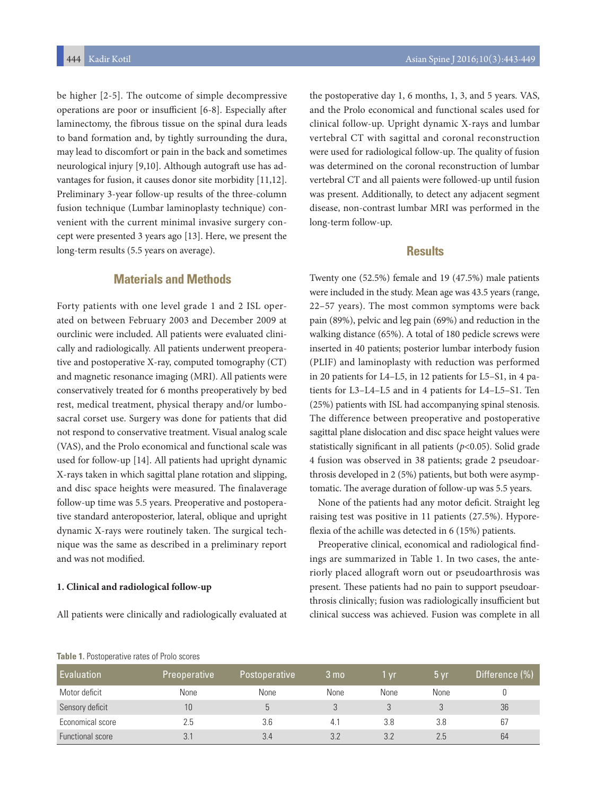be higher [2-5]. The outcome of simple decompressive operations are poor or insufficient [6-8]. Especially after laminectomy, the fibrous tissue on the spinal dura leads to band formation and, by tightly surrounding the dura, may lead to discomfort or pain in the back and sometimes neurological injury [9,10]. Although autograft use has advantages for fusion, it causes donor site morbidity [11,12]. Preliminary 3-year follow-up results of the three-column fusion technique (Lumbar laminoplasty technique) convenient with the current minimal invasive surgery concept were presented 3 years ago [13]. Here, we present the long-term results (5.5 years on average).

## **Materials and Methods**

Forty patients with one level grade 1 and 2 ISL operated on between February 2003 and December 2009 at ourclinic were included. All patients were evaluated clinically and radiologically. All patients underwent preoperative and postoperative X-ray, computed tomography (CT) and magnetic resonance imaging (MRI). All patients were conservatively treated for 6 months preoperatively by bed rest, medical treatment, physical therapy and/or lumbosacral corset use. Surgery was done for patients that did not respond to conservative treatment. Visual analog scale (VAS), and the Prolo economical and functional scale was used for follow-up [14]. All patients had upright dynamic X-rays taken in which sagittal plane rotation and slipping, and disc space heights were measured. The finalaverage follow-up time was 5.5 years. Preoperative and postoperative standard anteroposterior, lateral, oblique and upright dynamic X-rays were routinely taken. The surgical technique was the same as described in a preliminary report and was not modified.

#### **1. Clinical and radiological follow-up**

All patients were clinically and radiologically evaluated at

the postoperative day 1, 6 months, 1, 3, and 5 years. VAS, and the Prolo economical and functional scales used for clinical follow-up. Upright dynamic X-rays and lumbar vertebral CT with sagittal and coronal reconstruction were used for radiological follow-up. The quality of fusion was determined on the coronal reconstruction of lumbar vertebral CT and all paients were followed-up until fusion was present. Additionally, to detect any adjacent segment disease, non-contrast lumbar MRI was performed in the long-term follow-up.

### **Results**

Twenty one (52.5%) female and 19 (47.5%) male patients were included in the study. Mean age was 43.5 years (range, 22–57 years). The most common symptoms were back pain (89%), pelvic and leg pain (69%) and reduction in the walking distance (65%). A total of 180 pedicle screws were inserted in 40 patients; posterior lumbar interbody fusion (PLIF) and laminoplasty with reduction was performed in 20 patients for L4–L5, in 12 patients for L5–S1, in 4 patients for L3–L4–L5 and in 4 patients for L4–L5–S1. Ten (25%) patients with ISL had accompanying spinal stenosis. The difference between preoperative and postoperative sagittal plane dislocation and disc space height values were statistically significant in all patients (*p*<0.05). Solid grade 4 fusion was observed in 38 patients; grade 2 pseudoarthrosis developed in 2 (5%) patients, but both were asymptomatic. The average duration of follow-up was 5.5 years.

None of the patients had any motor deficit. Straight leg raising test was positive in 11 patients (27.5%). Hyporeflexia of the achille was detected in 6 (15%) patients.

Preoperative clinical, economical and radiological findings are summarized in Table 1. In two cases, the anteriorly placed allograft worn out or pseudoarthrosis was present. These patients had no pain to support pseudoarthrosis clinically; fusion was radiologically insufficient but clinical success was achieved. Fusion was complete in all

| Table 1. Postoperative rates of Prolo scores |  |
|----------------------------------------------|--|
|----------------------------------------------|--|

| Evaluation       | <b>Preoperative</b> | <b>Postoperative</b> | 3 mo        | <b>vr</b> | 5 <sub>vr</sub> | Difference (%) |
|------------------|---------------------|----------------------|-------------|-----------|-----------------|----------------|
| Motor deficit    | <b>None</b>         | None                 | <b>None</b> | None      | None            |                |
| Sensory deficit  | 10                  | b                    |             |           |                 | 36             |
| Economical score | 2.5                 | 3.6                  | 4.1         | 3.8       | 3.8             | 67             |
| Functional score | 3.1                 | 3.4                  | 3.2         | 3.2       | 2.5             | 64             |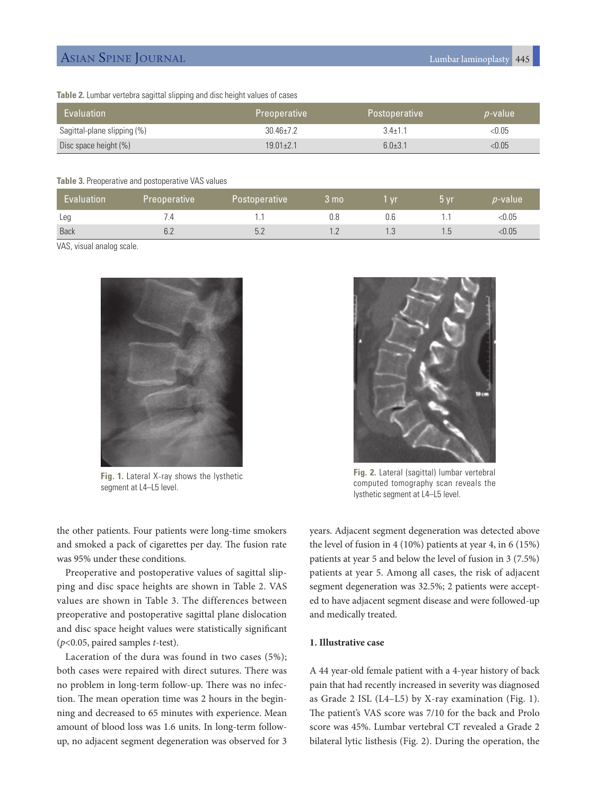# Asian Spine Journal Lumbar laminoplasty 445

**Table 2.** Lumbar vertebra sagittal slipping and disc height values of cases

| Evaluation                  | <b>Preoperative</b> | <b>Postoperative</b> | <i>p</i> -value |
|-----------------------------|---------------------|----------------------|-----------------|
| Sagittal-plane slipping (%) | $30.46 \pm 7.2$     | $3.4 \pm 1.1$        | $<$ 0.05        |
| Disc space height (%)       | $19.01 + 2.1$       | $6.0 + 3.1$          | < 0.05          |

#### **Table 3.** Preoperative and postoperative VAS values

| Evaluation | Preoperative ! | <b>Postoperative</b> | 3 mo                                                                                                                                                                                                                                 | $\overline{\mathsf{v}}$ | $5 \mathrm{yr}$ | <i>p-</i> value' |
|------------|----------------|----------------------|--------------------------------------------------------------------------------------------------------------------------------------------------------------------------------------------------------------------------------------|-------------------------|-----------------|------------------|
| Leg        |                |                      | 0.8                                                                                                                                                                                                                                  | 0.6                     |                 | < 0.05           |
| Back       | 6.2            |                      | <b>The Contract of Contract Contract of The Contract of The Contract of The Contract of The Contract of The Contract of The Contract of The Contract of The Contract of The Contract of The Contract of The Contract of The Cont</b> | 1 <sub>2</sub><br>ں. ا  | ن ا             | < 0.05           |

VAS, visual analog scale.



**Fig. 1.** Lateral X-ray shows the lysthetic segment at L4–L5 level.



**Fig. 2.** Lateral (sagittal) lumbar vertebral computed tomography scan reveals the lysthetic segment at L4–L5 level.

the other patients. Four patients were long-time smokers and smoked a pack of cigarettes per day. The fusion rate was 95% under these conditions.

Preoperative and postoperative values of sagittal slipping and disc space heights are shown in Table 2. VAS values are shown in Table 3. The differences between preoperative and postoperative sagittal plane dislocation and disc space height values were statistically significant (*p*<0.05, paired samples *t*-test).

Laceration of the dura was found in two cases (5%); both cases were repaired with direct sutures. There was no problem in long-term follow-up. There was no infection. The mean operation time was 2 hours in the beginning and decreased to 65 minutes with experience. Mean amount of blood loss was 1.6 units. In long-term followup, no adjacent segment degeneration was observed for 3

years. Adjacent segment degeneration was detected above the level of fusion in 4 (10%) patients at year 4, in 6 (15%) patients at year 5 and below the level of fusion in 3 (7.5%) patients at year 5. Among all cases, the risk of adjacent segment degeneration was 32.5%; 2 patients were accepted to have adjacent segment disease and were followed-up and medically treated.

#### **1. Illustrative case**

A 44 year-old female patient with a 4-year history of back pain that had recently increased in severity was diagnosed as Grade 2 ISL (L4–L5) by X-ray examination (Fig. 1). The patient's VAS score was 7/10 for the back and Prolo score was 45%. Lumbar vertebral CT revealed a Grade 2 bilateral lytic listhesis (Fig. 2). During the operation, the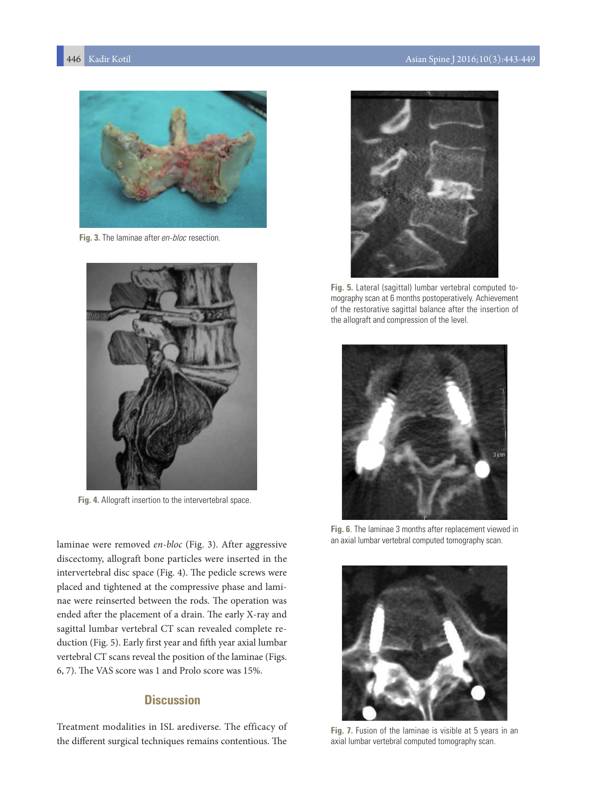# 446 Kadir Kotil Asian Spine J 2016;10(3):443-449



Fig. 3. The laminae after en-bloc resection.



**Fig. 4.** Allograft insertion to the intervertebral space.

laminae were removed *en-bloc* (Fig. 3). After aggressive discectomy, allograft bone particles were inserted in the intervertebral disc space (Fig. 4). The pedicle screws were placed and tightened at the compressive phase and laminae were reinserted between the rods. The operation was ended after the placement of a drain. The early X-ray and sagittal lumbar vertebral CT scan revealed complete reduction (Fig. 5). Early first year and fifth year axial lumbar vertebral CT scans reveal the position of the laminae (Figs. 6, 7). The VAS score was 1 and Prolo score was 15%.

# **Discussion**

Treatment modalities in ISL arediverse. The efficacy of the different surgical techniques remains contentious. The



**Fig. 5.** Lateral (sagittal) lumbar vertebral computed tomography scan at 6 months postoperatively. Achievement of the restorative sagittal balance after the insertion of the allograft and compression of the level.



**Fig. 6**. The laminae 3 months after replacement viewed in an axial lumbar vertebral computed tomography scan.



**Fig. 7.** Fusion of the laminae is visible at 5 years in an axial lumbar vertebral computed tomography scan.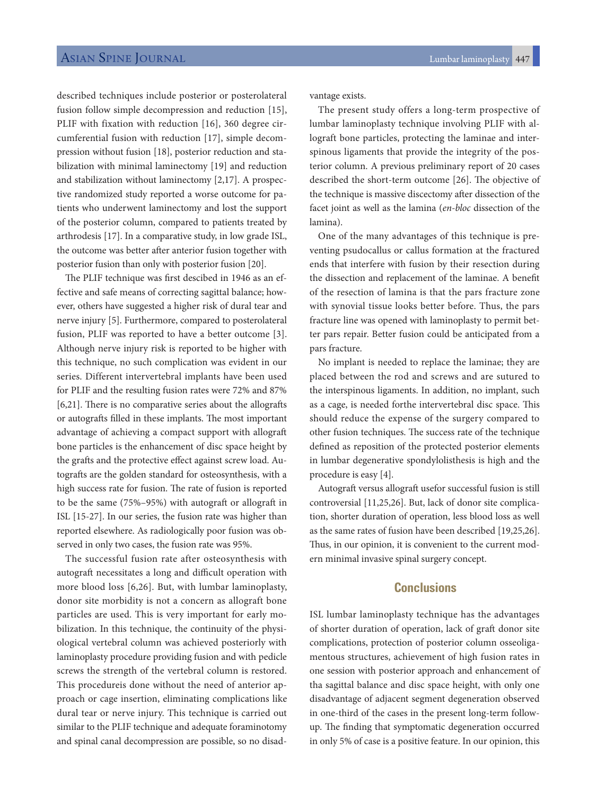described techniques include posterior or posterolateral fusion follow simple decompression and reduction [15], PLIF with fixation with reduction [16], 360 degree circumferential fusion with reduction [17], simple decompression without fusion [18], posterior reduction and stabilization with minimal laminectomy [19] and reduction and stabilization without laminectomy [2,17]. A prospective randomized study reported a worse outcome for patients who underwent laminectomy and lost the support of the posterior column, compared to patients treated by arthrodesis [17]. In a comparative study, in low grade ISL, the outcome was better after anterior fusion together with posterior fusion than only with posterior fusion [20].

The PLIF technique was first descibed in 1946 as an effective and safe means of correcting sagittal balance; however, others have suggested a higher risk of dural tear and nerve injury [5]. Furthermore, compared to posterolateral fusion, PLIF was reported to have a better outcome [3]. Although nerve injury risk is reported to be higher with this technique, no such complication was evident in our series. Different intervertebral implants have been used for PLIF and the resulting fusion rates were 72% and 87% [6,21]. There is no comparative series about the allografts or autografts filled in these implants. The most important advantage of achieving a compact support with allograft bone particles is the enhancement of disc space height by the grafts and the protective effect against screw load. Autografts are the golden standard for osteosynthesis, with a high success rate for fusion. The rate of fusion is reported to be the same (75%–95%) with autograft or allograft in ISL [15-27]. In our series, the fusion rate was higher than reported elsewhere. As radiologically poor fusion was observed in only two cases, the fusion rate was 95%.

The successful fusion rate after osteosynthesis with autograft necessitates a long and difficult operation with more blood loss [6,26]. But, with lumbar laminoplasty, donor site morbidity is not a concern as allograft bone particles are used. This is very important for early mobilization. In this technique, the continuity of the physiological vertebral column was achieved posteriorly with laminoplasty procedure providing fusion and with pedicle screws the strength of the vertebral column is restored. This procedureis done without the need of anterior approach or cage insertion, eliminating complications like dural tear or nerve injury. This technique is carried out similar to the PLIF technique and adequate foraminotomy and spinal canal decompression are possible, so no disadvantage exists.

The present study offers a long-term prospective of lumbar laminoplasty technique involving PLIF with allograft bone particles, protecting the laminae and interspinous ligaments that provide the integrity of the posterior column. A previous preliminary report of 20 cases described the short-term outcome [26]. The objective of the technique is massive discectomy after dissection of the facet joint as well as the lamina (*en-bloc* dissection of the lamina).

One of the many advantages of this technique is preventing psudocallus or callus formation at the fractured ends that interfere with fusion by their resection during the dissection and replacement of the laminae. A benefit of the resection of lamina is that the pars fracture zone with synovial tissue looks better before. Thus, the pars fracture line was opened with laminoplasty to permit better pars repair. Better fusion could be anticipated from a pars fracture.

No implant is needed to replace the laminae; they are placed between the rod and screws and are sutured to the interspinous ligaments. In addition, no implant, such as a cage, is needed forthe intervertebral disc space. This should reduce the expense of the surgery compared to other fusion techniques. The success rate of the technique defined as reposition of the protected posterior elements in lumbar degenerative spondylolisthesis is high and the procedure is easy [4].

Autograft versus allograft usefor successful fusion is still controversial [11,25,26]. But, lack of donor site complication, shorter duration of operation, less blood loss as well as the same rates of fusion have been described [19,25,26]. Thus, in our opinion, it is convenient to the current modern minimal invasive spinal surgery concept.

# **Conclusions**

ISL lumbar laminoplasty technique has the advantages of shorter duration of operation, lack of graft donor site complications, protection of posterior column osseoligamentous structures, achievement of high fusion rates in one session with posterior approach and enhancement of tha sagittal balance and disc space height, with only one disadvantage of adjacent segment degeneration observed in one-third of the cases in the present long-term followup. The finding that symptomatic degeneration occurred in only 5% of case is a positive feature. In our opinion, this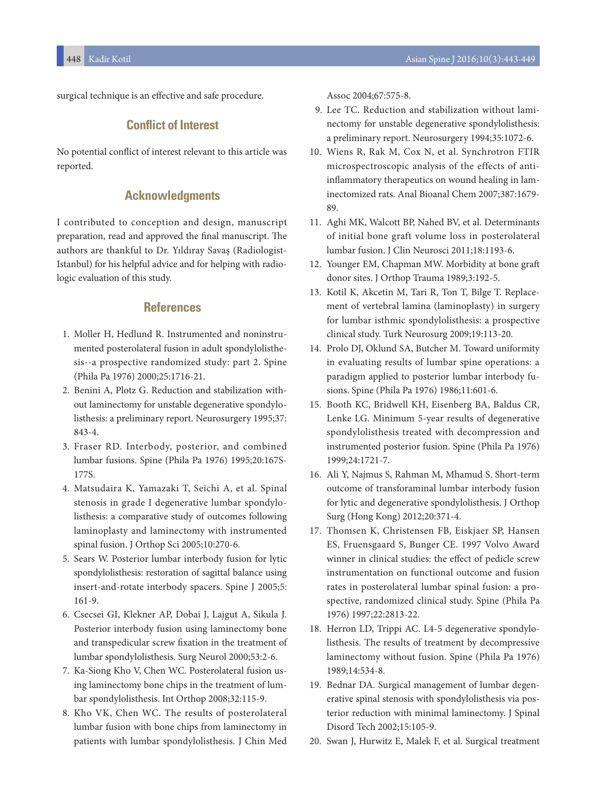surgical technique is an effective and safe procedure.

# **Conflict of Interest**

No potential conflict of interest relevant to this article was reported.

# **Acknowledgments**

I contributed to conception and design, manuscript preparation, read and approved the final manuscript. The authors are thankful to Dr. Yıldıray Savaş (Radiologist-Istanbul) for his helpful advice and for helping with radiologic evaluation of this study.

# **References**

- 1. Moller H, Hedlund R. Instrumented and noninstrumented posterolateral fusion in adult spondylolisthesis--a prospective randomized study: part 2. Spine (Phila Pa 1976) 2000;25:1716-21.
- 2. Benini A, Plotz G. Reduction and stabilization without laminectomy for unstable degenerative spondylolisthesis: a preliminary report. Neurosurgery 1995;37: 843-4.
- 3. Fraser RD. Interbody, posterior, and combined lumbar fusions. Spine (Phila Pa 1976) 1995;20:167S-177S.
- 4. Matsudaira K, Yamazaki T, Seichi A, et al. Spinal stenosis in grade I degenerative lumbar spondylolisthesis: a comparative study of outcomes following laminoplasty and laminectomy with instrumented spinal fusion. J Orthop Sci 2005;10:270-6.
- 5. Sears W. Posterior lumbar interbody fusion for lytic spondylolisthesis: restoration of sagittal balance using insert-and-rotate interbody spacers. Spine J 2005;5: 161-9.
- 6. Csecsei GI, Klekner AP, Dobai J, Lajgut A, Sikula J. Posterior interbody fusion using laminectomy bone and transpedicular screw fixation in the treatment of lumbar spondylolisthesis. Surg Neurol 2000;53:2-6.
- 7. Ka-Siong Kho V, Chen WC. Posterolateral fusion using laminectomy bone chips in the treatment of lumbar spondylolisthesis. Int Orthop 2008;32:115-9.
- 8. Kho VK, Chen WC. The results of posterolateral lumbar fusion with bone chips from laminectomy in patients with lumbar spondylolisthesis. J Chin Med

Assoc 2004;67:575-8.

- 9. Lee TC. Reduction and stabilization without laminectomy for unstable degenerative spondylolisthesis: a preliminary report. Neurosurgery 1994;35:1072-6.
- 10. Wiens R, Rak M, Cox N, et al. Synchrotron FTIR microspectroscopic analysis of the effects of antiinflammatory therapeutics on wound healing in laminectomized rats. Anal Bioanal Chem 2007;387:1679- 89.
- 11. Aghi MK, Walcott BP, Nahed BV, et al. Determinants of initial bone graft volume loss in posterolateral lumbar fusion. J Clin Neurosci 2011;18:1193-6.
- 12. Younger EM, Chapman MW. Morbidity at bone graft donor sites. J Orthop Trauma 1989;3:192-5.
- 13. Kotil K, Akcetin M, Tari R, Ton T, Bilge T. Replacement of vertebral lamina (laminoplasty) in surgery for lumbar isthmic spondylolisthesis: a prospective clinical study. Turk Neurosurg 2009;19:113-20.
- 14. Prolo DJ, Oklund SA, Butcher M. Toward uniformity in evaluating results of lumbar spine operations: a paradigm applied to posterior lumbar interbody fusions. Spine (Phila Pa 1976) 1986;11:601-6.
- 15. Booth KC, Bridwell KH, Eisenberg BA, Baldus CR, Lenke LG. Minimum 5-year results of degenerative spondylolisthesis treated with decompression and instrumented posterior fusion. Spine (Phila Pa 1976) 1999;24:1721-7.
- 16. Ali Y, Najmus S, Rahman M, Mhamud S. Short-term outcome of transforaminal lumbar interbody fusion for lytic and degenerative spondylolisthesis. J Orthop Surg (Hong Kong) 2012;20:371-4.
- 17. Thomsen K, Christensen FB, Eiskjaer SP, Hansen ES, Fruensgaard S, Bunger CE. 1997 Volvo Award winner in clinical studies: the effect of pedicle screw instrumentation on functional outcome and fusion rates in posterolateral lumbar spinal fusion: a prospective, randomized clinical study. Spine (Phila Pa 1976) 1997;22:2813-22.
- 18. Herron LD, Trippi AC. L4-5 degenerative spondylolisthesis. The results of treatment by decompressive laminectomy without fusion. Spine (Phila Pa 1976) 1989;14:534-8.
- 19. Bednar DA. Surgical management of lumbar degenerative spinal stenosis with spondylolisthesis via posterior reduction with minimal laminectomy. J Spinal Disord Tech 2002;15:105-9.
- 20. Swan J, Hurwitz E, Malek F, et al. Surgical treatment